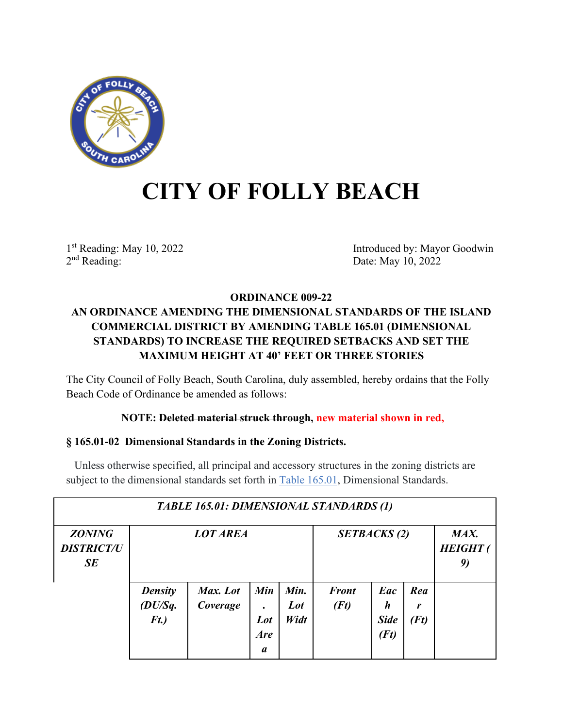

# **CITY OF FOLLY BEACH**

1st Reading: May 10, 2022<br>
2<sup>nd</sup> Reading: Date: May 10, 2022<br>
Date: May 10, 2022 Date: May 10, 2022

### **ORDINANCE 009-22 AN ORDINANCE AMENDING THE DIMENSIONAL STANDARDS OF THE ISLAND COMMERCIAL DISTRICT BY AMENDING TABLE 165.01 (DIMENSIONAL STANDARDS) TO INCREASE THE REQUIRED SETBACKS AND SET THE MAXIMUM HEIGHT AT 40' FEET OR THREE STORIES**

The City Council of Folly Beach, South Carolina, duly assembled, hereby ordains that the Folly Beach Code of Ordinance be amended as follows:

#### **NOTE: Deleted material struck through, new material shown in red,**

#### **§ 165.01-02 Dimensional Standards in the Zoning Districts.**

 Unless otherwise specified, all principal and accessory structures in the zoning districts are subject to the dimensional standards set forth in [Table 165.01,](https://codelibrary.amlegal.com/codes/follybeach/latest/follyb_sc/0-0-0-31825#JD_Table165.01) Dimensional Standards.

| TABLE 165.01: DIMENSIONAL STANDARDS (1)  |                                      |                      |                                            |                     |                      |                                 |                  |                               |  |  |  |  |  |
|------------------------------------------|--------------------------------------|----------------------|--------------------------------------------|---------------------|----------------------|---------------------------------|------------------|-------------------------------|--|--|--|--|--|
| <b>ZONING</b><br><b>DISTRICT/U</b><br>SE | <b>LOT AREA</b>                      |                      |                                            |                     | <b>SETBACKS</b> (2)  |                                 |                  | MAX.<br><b>HEIGHT</b> (<br>9) |  |  |  |  |  |
|                                          | <b>Density</b><br>(DU/Sq.<br>$F_{t}$ | Max. Lot<br>Coverage | Min<br>٠<br>Lot<br>Are<br>$\boldsymbol{a}$ | Min.<br>Lot<br>Widt | <b>Front</b><br>(Ft) | Eac<br>h<br><b>Side</b><br>(Ft) | Rea<br>r<br>(Ft) |                               |  |  |  |  |  |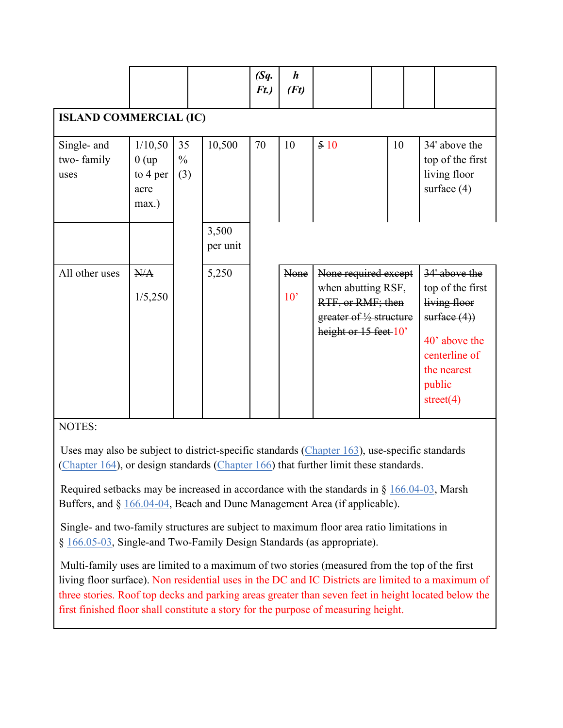|                                   |                                                   |                            |                 | (Sq)<br>$F_{t}$ | $\boldsymbol{h}$<br>(Ft) |                                                                 |    |                                                                                            |  |  |  |  |  |
|-----------------------------------|---------------------------------------------------|----------------------------|-----------------|-----------------|--------------------------|-----------------------------------------------------------------|----|--------------------------------------------------------------------------------------------|--|--|--|--|--|
| <b>ISLAND COMMERCIAL (IC)</b>     |                                                   |                            |                 |                 |                          |                                                                 |    |                                                                                            |  |  |  |  |  |
| Single- and<br>two-family<br>uses | 1/10,50<br>0 (up)<br>to 4 per<br>acre<br>$max.$ ) | 35<br>$\frac{0}{0}$<br>(3) | 10,500<br>3,500 | 70              | 10                       | 5 10                                                            | 10 | 34' above the<br>top of the first<br>living floor<br>surface $(4)$                         |  |  |  |  |  |
|                                   |                                                   |                            | per unit        |                 |                          |                                                                 |    |                                                                                            |  |  |  |  |  |
| All other uses                    | N/A                                               |                            | 5,250           |                 | None                     | None required except<br>when abutting RSF,<br>RTF, or RMF; then |    | 34' above the                                                                              |  |  |  |  |  |
|                                   | 1/5,250                                           |                            |                 |                 | 10'                      |                                                                 |    | top of the first<br>living floor                                                           |  |  |  |  |  |
|                                   |                                                   |                            |                 |                 |                          | greater of $\frac{1}{2}$ structure<br>height or 15 feet-10'     |    | surface $(4)$ )<br>40' above the<br>centerline of<br>the nearest<br>public<br>street $(4)$ |  |  |  |  |  |

## NOTES:

Uses may also be subject to district-specific standards [\(Chapter 163\)](https://codelibrary.amlegal.com/codes/follybeach/latest/follyb_sc/0-0-0-29056#JD_chapter163), use-specific standards [\(Chapter 164\)](https://codelibrary.amlegal.com/codes/follybeach/latest/follyb_sc/0-0-0-31292#JD_chapter164), or design standards [\(Chapter 166\)](https://codelibrary.amlegal.com/codes/follybeach/latest/follyb_sc/0-0-0-29857#JD_chapter166) that further limit these standards.

Required setbacks may be increased in accordance with the standards in  $\S$  [166.04-03,](https://codelibrary.amlegal.com/codes/follybeach/latest/follyb_sc/0-0-0-30279#JD_166.04-03) Marsh Buffers, and § [166.04-04,](https://codelibrary.amlegal.com/codes/follybeach/latest/follyb_sc/0-0-0-30298#JD_166.04-04) Beach and Dune Management Area (if applicable).

 Single- and two-family structures are subject to maximum floor area ratio limitations in § [166.05-03,](https://codelibrary.amlegal.com/codes/follybeach/latest/follyb_sc/0-0-0-30328#JD_166.05-03) Single-and Two-Family Design Standards (as appropriate).

 Multi-family uses are limited to a maximum of two stories (measured from the top of the first living floor surface). Non residential uses in the DC and IC Districts are limited to a maximum of three stories. Roof top decks and parking areas greater than seven feet in height located below the first finished floor shall constitute a story for the purpose of measuring height.